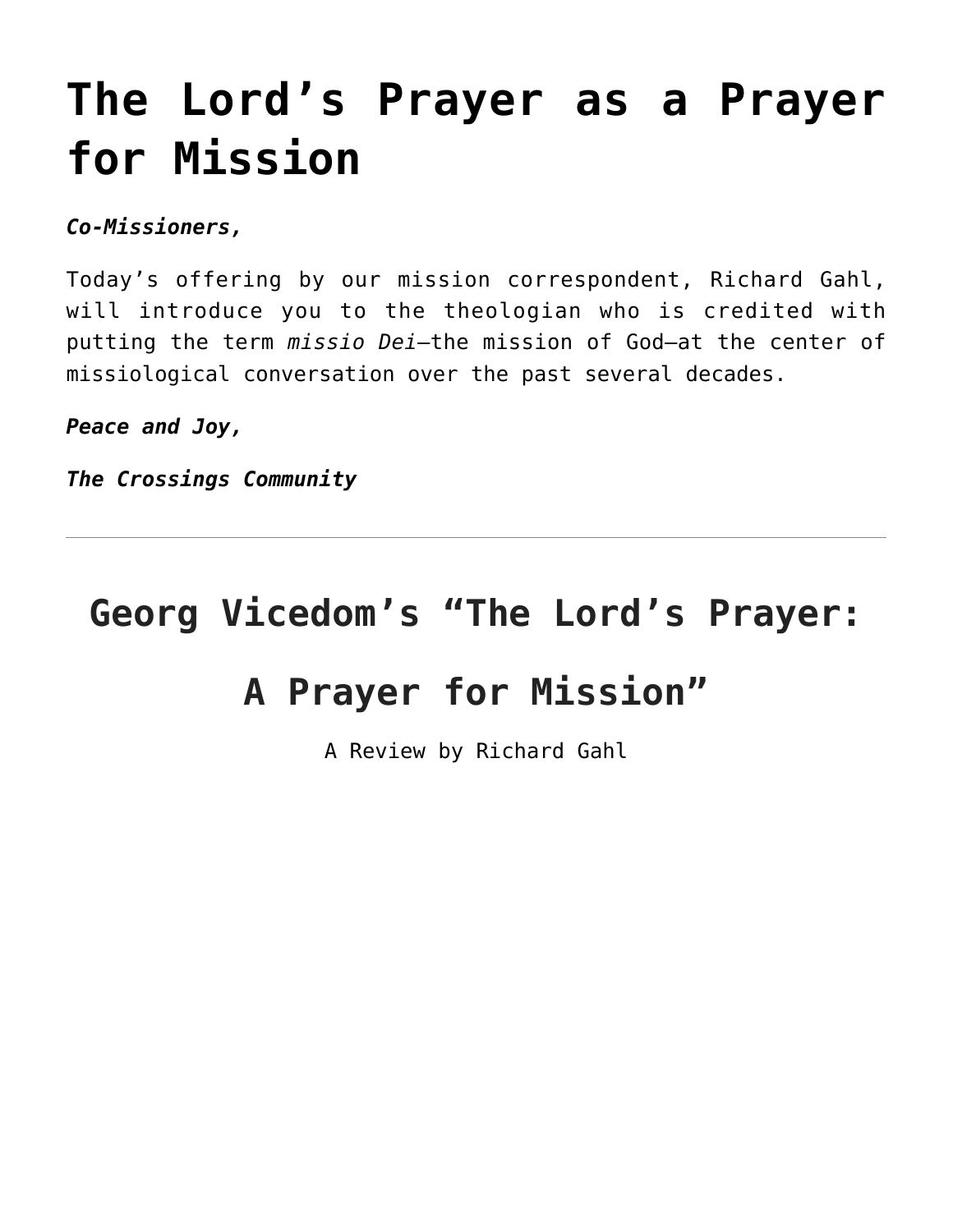## **[The Lord's Prayer as a Prayer](https://crossings.org/thursday-theology-8-8-2020/) [for Mission](https://crossings.org/thursday-theology-8-8-2020/)**

*Co-Missioners,*

Today's offering by our mission correspondent, Richard Gahl, will introduce you to the theologian who is credited with putting the term *missio Dei*—the mission of God—at the center of missiological conversation over the past several decades.

*Peace and Joy,*

*The Crossings Community*

## **Georg Vicedom's "The Lord's Prayer: A Prayer for Mission"**

A Review by Richard Gahl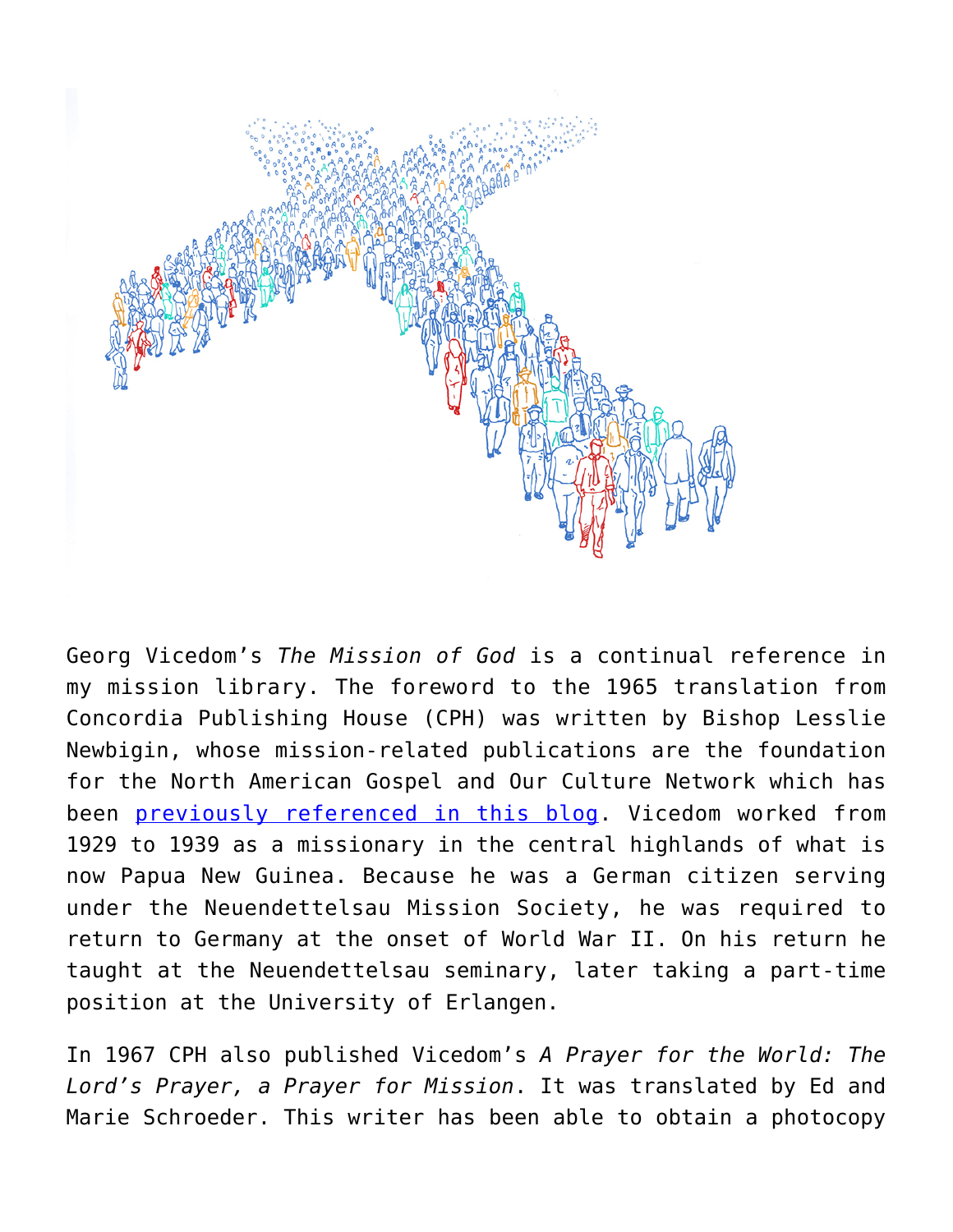

Georg Vicedom's *The Mission of God* is a continual reference in my mission library. The foreword to the 1965 translation from Concordia Publishing House (CPH) was written by Bishop Lesslie Newbigin, whose mission-related publications are the foundation for the North American Gospel and Our Culture Network which has been [previously referenced in this blog](https://crossings.org/thursday-theology-4/). Vicedom worked from 1929 to 1939 as a missionary in the central highlands of what is now Papua New Guinea. Because he was a German citizen serving under the Neuendettelsau Mission Society, he was required to return to Germany at the onset of World War II. On his return he taught at the Neuendettelsau seminary, later taking a part-time position at the University of Erlangen.

In 1967 CPH also published Vicedom's *A Prayer for the World: The Lord's Prayer, a Prayer for Mission*. It was translated by Ed and Marie Schroeder. This writer has been able to obtain a photocopy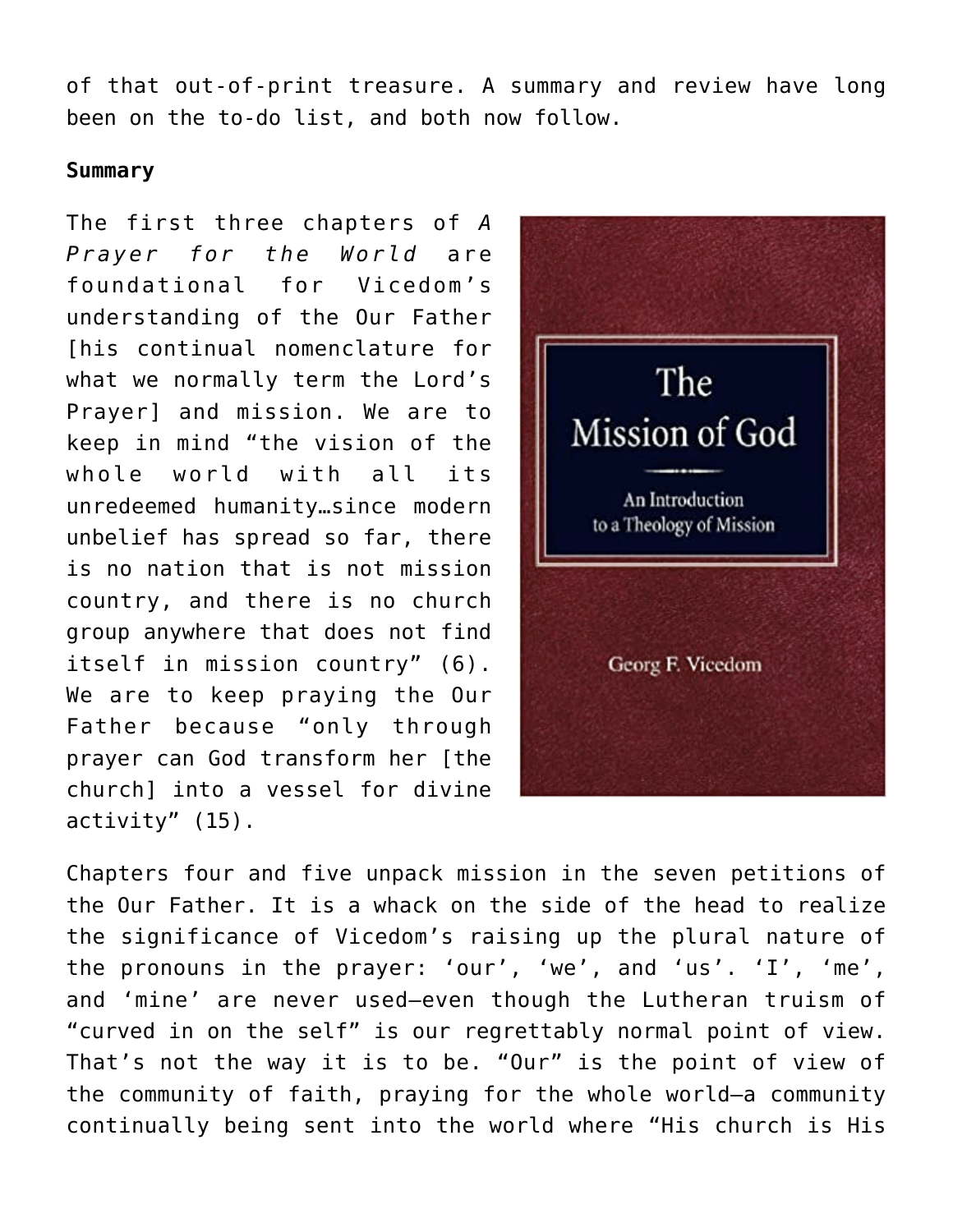of that out-of-print treasure. A summary and review have long been on the to-do list, and both now follow.

## **Summary**

The first three chapters of *A Prayer for the World* are foundational for Vicedom's understanding of the Our Father [his continual nomenclature for what we normally term the Lord's Prayer] and mission. We are to keep in mind "the vision of the whole world with all its unredeemed humanity…since modern unbelief has spread so far, there is no nation that is not mission country, and there is no church group anywhere that does not find itself in mission country" (6). We are to keep praying the Our Father because "only through prayer can God transform her [the church] into a vessel for divine activity" (15).



Chapters four and five unpack mission in the seven petitions of the Our Father. It is a whack on the side of the head to realize the significance of Vicedom's raising up the plural nature of the pronouns in the prayer: 'our', 'we', and 'us'. 'I', 'me', and 'mine' are never used—even though the Lutheran truism of "curved in on the self" is our regrettably normal point of view. That's not the way it is to be. "Our" is the point of view of the community of faith, praying for the whole world—a community continually being sent into the world where "His church is His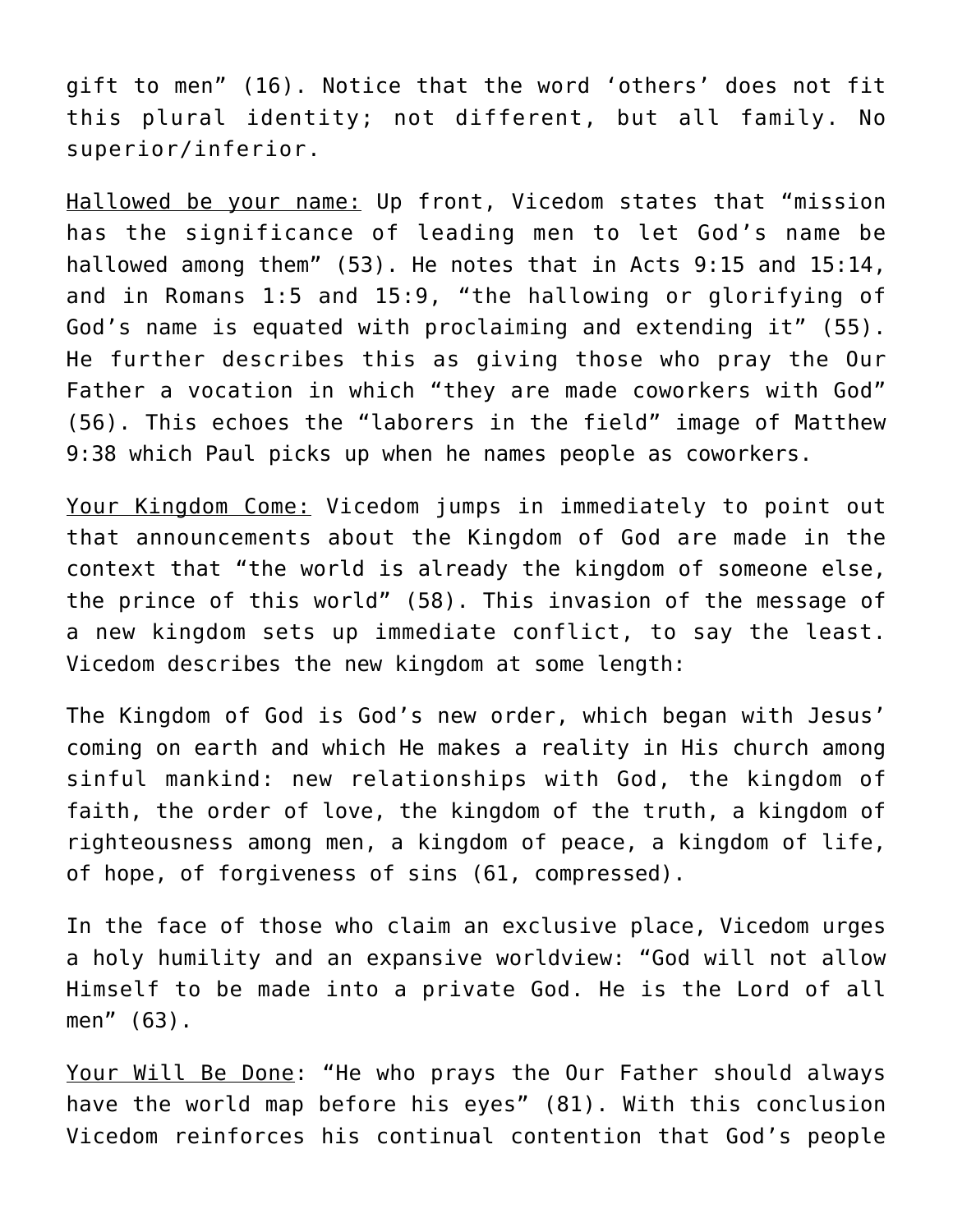gift to men" (16). Notice that the word 'others' does not fit this plural identity; not different, but all family. No superior/inferior.

Hallowed be your name: Up front, Vicedom states that "mission has the significance of leading men to let God's name be hallowed among them" (53). He notes that in Acts 9:15 and 15:14, and in Romans 1:5 and 15:9, "the hallowing or glorifying of God's name is equated with proclaiming and extending it" (55). He further describes this as giving those who pray the Our Father a vocation in which "they are made coworkers with God" (56). This echoes the "laborers in the field" image of Matthew 9:38 which Paul picks up when he names people as coworkers.

Your Kingdom Come: Vicedom jumps in immediately to point out that announcements about the Kingdom of God are made in the context that "the world is already the kingdom of someone else, the prince of this world" (58). This invasion of the message of a new kingdom sets up immediate conflict, to say the least. Vicedom describes the new kingdom at some length:

The Kingdom of God is God's new order, which began with Jesus' coming on earth and which He makes a reality in His church among sinful mankind: new relationships with God, the kingdom of faith, the order of love, the kingdom of the truth, a kingdom of righteousness among men, a kingdom of peace, a kingdom of life, of hope, of forgiveness of sins (61, compressed).

In the face of those who claim an exclusive place, Vicedom urges a holy humility and an expansive worldview: "God will not allow Himself to be made into a private God. He is the Lord of all men" (63).

Your Will Be Done: "He who prays the Our Father should always have the world map before his eyes" (81). With this conclusion Vicedom reinforces his continual contention that God's people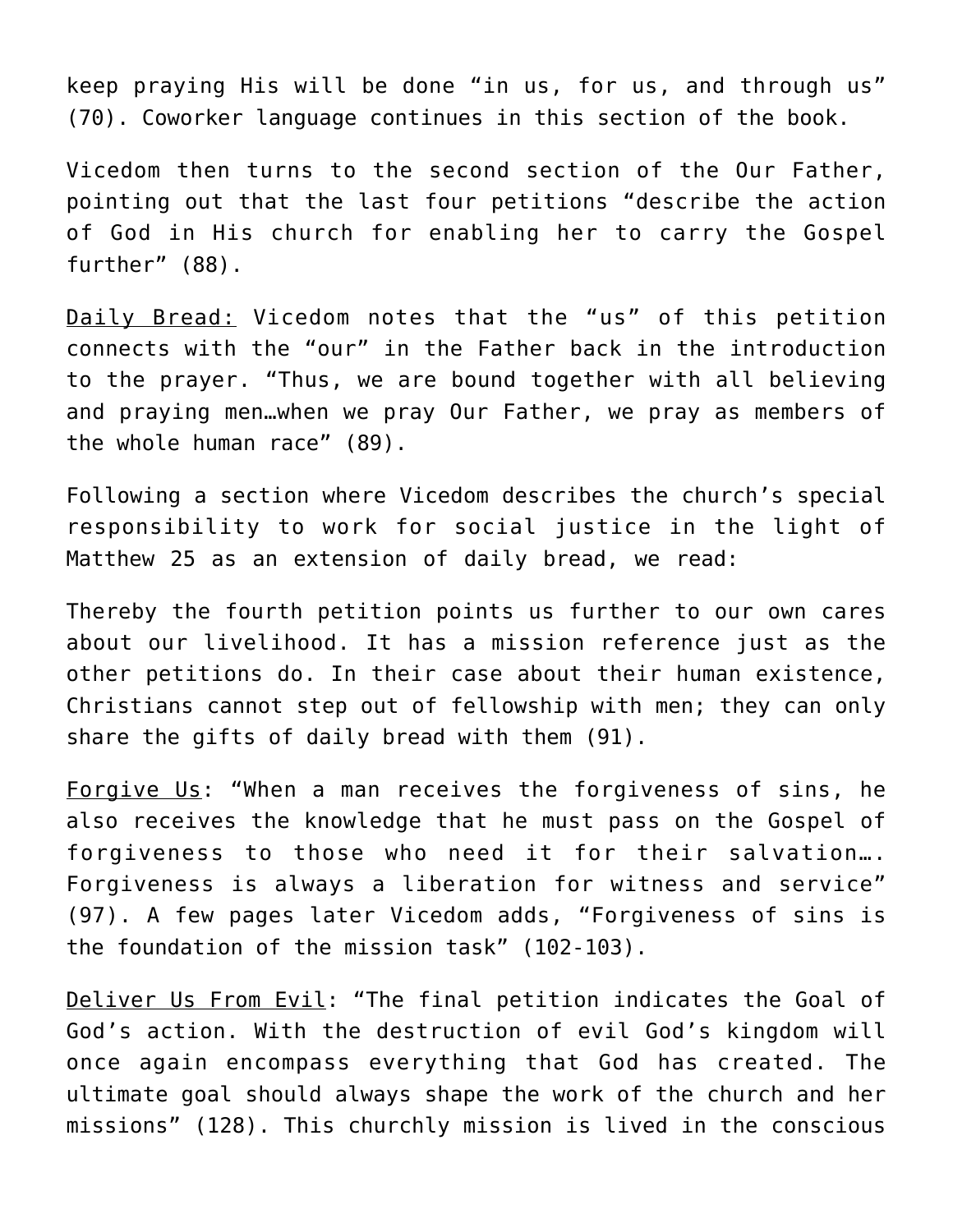keep praying His will be done "in us, for us, and through us" (70). Coworker language continues in this section of the book.

Vicedom then turns to the second section of the Our Father, pointing out that the last four petitions "describe the action of God in His church for enabling her to carry the Gospel further" (88).

Daily Bread: Vicedom notes that the "us" of this petition connects with the "our" in the Father back in the introduction to the prayer. "Thus, we are bound together with all believing and praying men…when we pray Our Father, we pray as members of the whole human race" (89).

Following a section where Vicedom describes the church's special responsibility to work for social justice in the light of Matthew 25 as an extension of daily bread, we read:

Thereby the fourth petition points us further to our own cares about our livelihood. It has a mission reference just as the other petitions do. In their case about their human existence, Christians cannot step out of fellowship with men; they can only share the gifts of daily bread with them (91).

Forgive Us: "When a man receives the forgiveness of sins, he also receives the knowledge that he must pass on the Gospel of forgiveness to those who need it for their salvation…. Forgiveness is always a liberation for witness and service" (97). A few pages later Vicedom adds, "Forgiveness of sins is the foundation of the mission task" (102-103).

Deliver Us From Evil: "The final petition indicates the Goal of God's action. With the destruction of evil God's kingdom will once again encompass everything that God has created. The ultimate goal should always shape the work of the church and her missions" (128). This churchly mission is lived in the conscious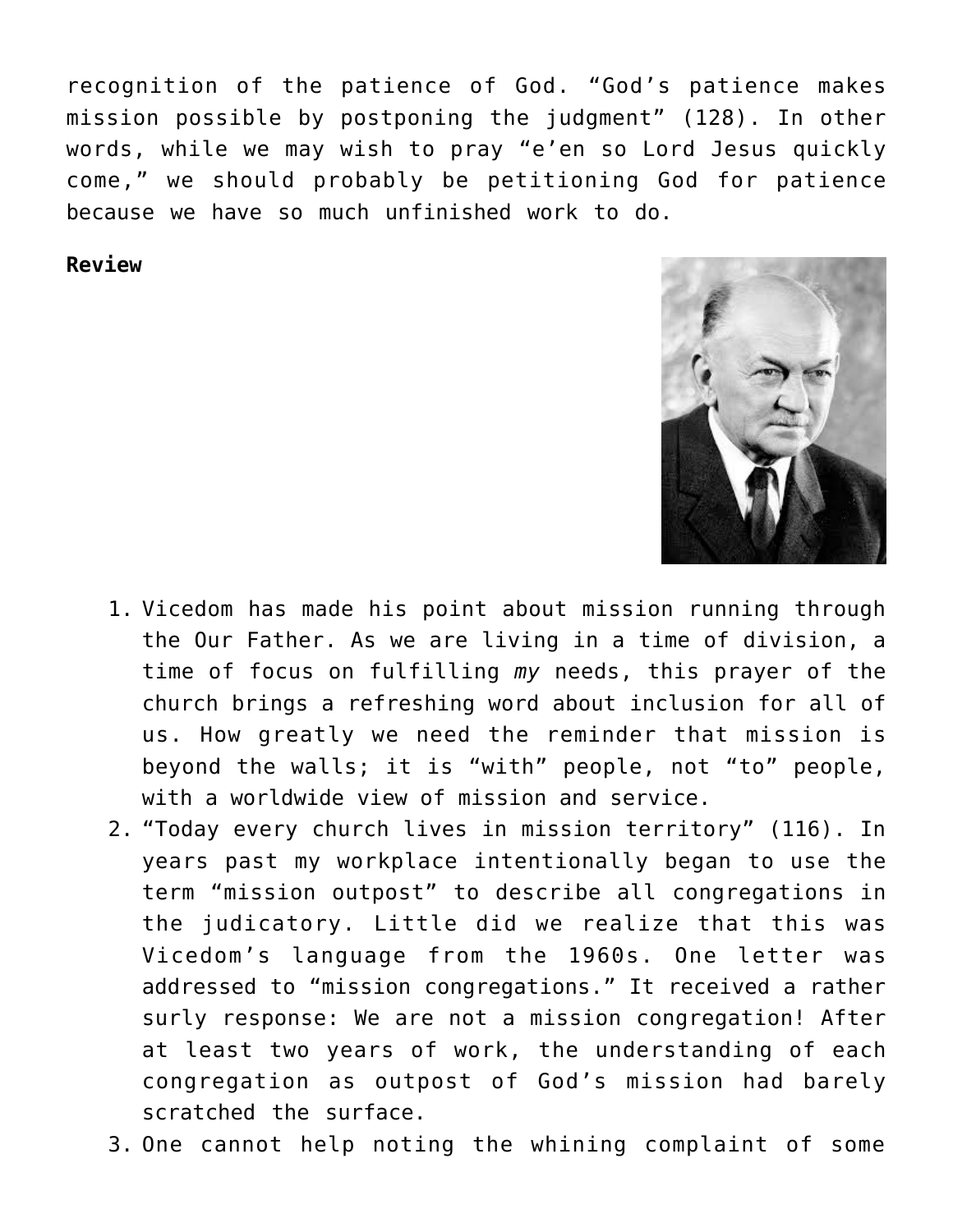recognition of the patience of God. "God's patience makes mission possible by postponing the judgment" (128). In other words, while we may wish to pray "e'en so Lord Jesus quickly come," we should probably be petitioning God for patience because we have so much unfinished work to do.

## **Review**



- 1. Vicedom has made his point about mission running through the Our Father. As we are living in a time of division, a time of focus on fulfilling *my* needs, this prayer of the church brings a refreshing word about inclusion for all of us. How greatly we need the reminder that mission is beyond the walls; it is "with" people, not "to" people, with a worldwide view of mission and service.
- 2. "Today every church lives in mission territory" (116). In years past my workplace intentionally began to use the term "mission outpost" to describe all congregations in the judicatory. Little did we realize that this was Vicedom's language from the 1960s. One letter was addressed to "mission congregations." It received a rather surly response: We are not a mission congregation! After at least two years of work, the understanding of each congregation as outpost of God's mission had barely scratched the surface.
- 3. One cannot help noting the whining complaint of some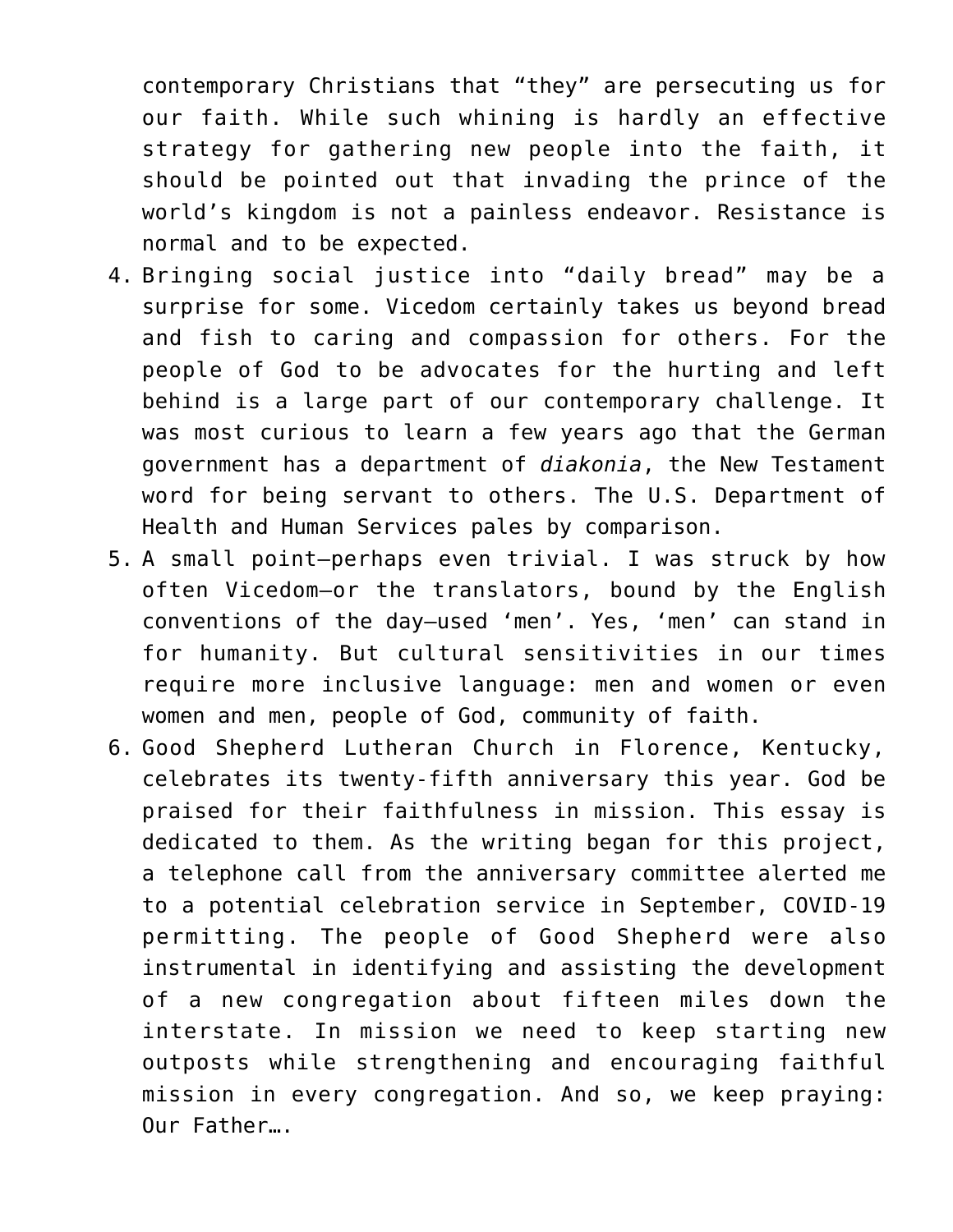contemporary Christians that "they" are persecuting us for our faith. While such whining is hardly an effective strategy for gathering new people into the faith, it should be pointed out that invading the prince of the world's kingdom is not a painless endeavor. Resistance is normal and to be expected.

- 4. Bringing social justice into "daily bread" may be a surprise for some. Vicedom certainly takes us beyond bread and fish to caring and compassion for others. For the people of God to be advocates for the hurting and left behind is a large part of our contemporary challenge. It was most curious to learn a few years ago that the German government has a department of *diakonia*, the New Testament word for being servant to others. The U.S. Department of Health and Human Services pales by comparison.
- 5. A small point—perhaps even trivial. I was struck by how often Vicedom—or the translators, bound by the English conventions of the day—used 'men'. Yes, 'men' can stand in for humanity. But cultural sensitivities in our times require more inclusive language: men and women or even women and men, people of God, community of faith.
- 6. Good Shepherd Lutheran Church in Florence, Kentucky, celebrates its twenty-fifth anniversary this year. God be praised for their faithfulness in mission. This essay is dedicated to them. As the writing began for this project, a telephone call from the anniversary committee alerted me to a potential celebration service in September, COVID-19 permitting. The people of Good Shepherd were also instrumental in identifying and assisting the development of a new congregation about fifteen miles down the interstate. In mission we need to keep starting new outposts while strengthening and encouraging faithful mission in every congregation. And so, we keep praying: Our Father….